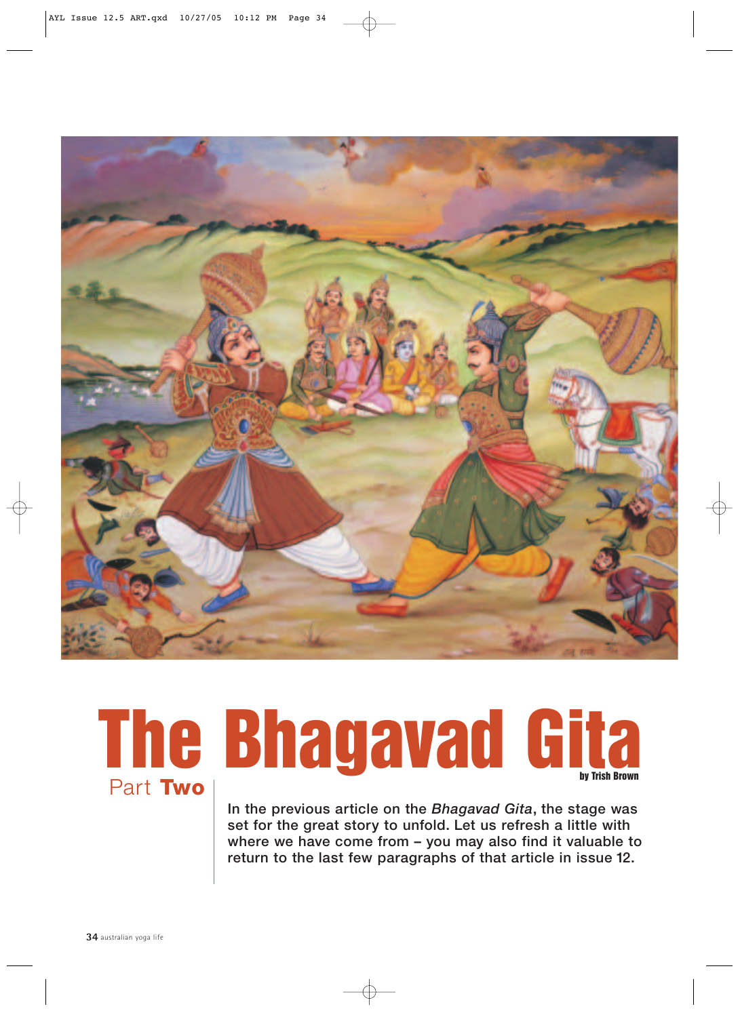

# **The Bhagavad Gitaby Trish Brown** Part **Two**

**In the previous article on the** *Bhagavad Gita***, the stage was set for the great story to unfold. Let us refresh a little with where we have come from – you may also find it valuable to return to the last few paragraphs of that article in issue 12.**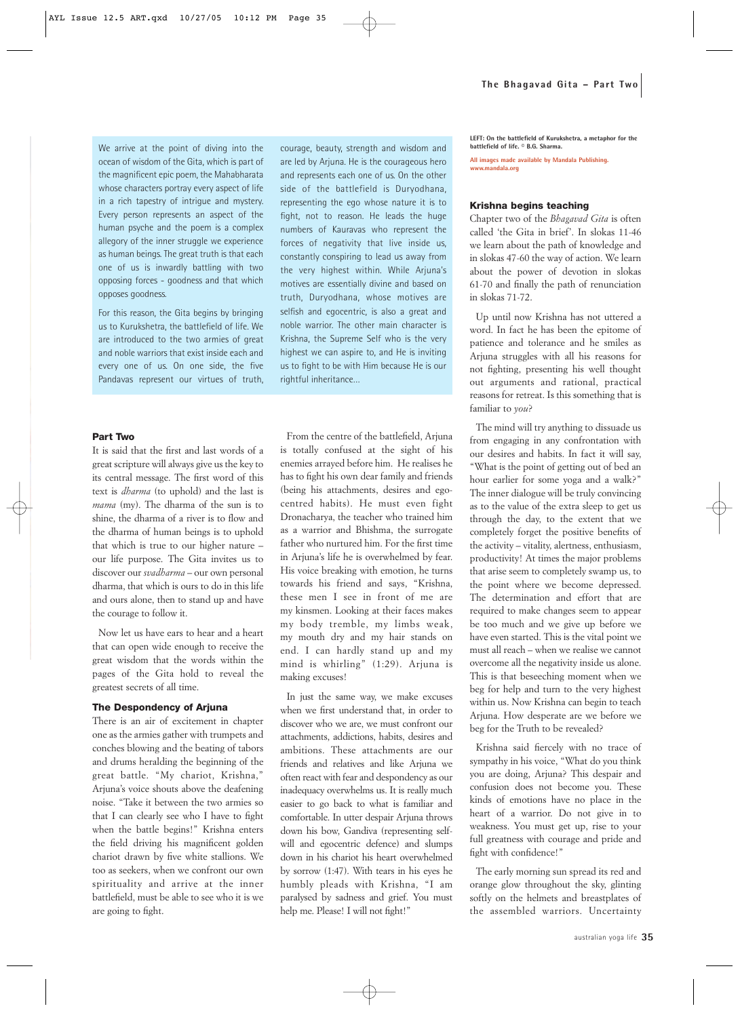We arrive at the point of diving into the ocean of wisdom of the Gita, which is part of the magnificent epic poem, the Mahabharata whose characters portray every aspect of life in a rich tapestry of intrigue and mystery. Every person represents an aspect of the human psyche and the poem is a complex allegory of the inner struggle we experience as human beings. The great truth is that each one of us is inwardly battling with two opposing forces - goodness and that which opposes goodness.

For this reason, the Gita begins by bringing us to Kurukshetra, the battlefield of life. We are introduced to the two armies of great and noble warriors that exist inside each and every one of us. On one side, the five Pandavas represent our virtues of truth,

#### **Part Two**

It is said that the first and last words of a great scripture will always give us the key to its central message. The first word of this text is *dharma* (to uphold) and the last is *mama* (my). The dharma of the sun is to shine, the dharma of a river is to flow and the dharma of human beings is to uphold that which is true to our higher nature – our life purpose. The Gita invites us to discover our *svadharma* – our own personal dharma, that which is ours to do in this life and ours alone, then to stand up and have the courage to follow it.

Now let us have ears to hear and a heart that can open wide enough to receive the great wisdom that the words within the pages of the Gita hold to reveal the greatest secrets of all time.

#### **The Despondency of Arjuna**

There is an air of excitement in chapter one as the armies gather with trumpets and conches blowing and the beating of tabors and drums heralding the beginning of the great battle. "My chariot, Krishna," Arjuna's voice shouts above the deafening noise. "Take it between the two armies so that I can clearly see who I have to fight when the battle begins!" Krishna enters the field driving his magnificent golden chariot drawn by five white stallions. We too as seekers, when we confront our own spirituality and arrive at the inner battlefield, must be able to see who it is we are going to fight.

courage, beauty, strength and wisdom and are led by Arjuna. He is the courageous hero and represents each one of us. On the other side of the battlefield is Duryodhana, representing the ego whose nature it is to fight, not to reason. He leads the huge numbers of Kauravas who represent the forces of negativity that live inside us, constantly conspiring to lead us away from the very highest within. While Arjuna's motives are essentially divine and based on truth, Duryodhana, whose motives are selfish and egocentric, is also a great and noble warrior. The other main character is Krishna, the Supreme Self who is the very highest we can aspire to, and He is inviting us to fight to be with Him because He is our rightful inheritance…

From the centre of the battlefield, Arjuna is totally confused at the sight of his enemies arrayed before him. He realises he has to fight his own dear family and friends (being his attachments, desires and egocentred habits). He must even fight Dronacharya, the teacher who trained him as a warrior and Bhishma, the surrogate father who nurtured him. For the first time in Arjuna's life he is overwhelmed by fear. His voice breaking with emotion, he turns towards his friend and says, "Krishna, these men I see in front of me are my kinsmen. Looking at their faces makes my body tremble, my limbs weak, my mouth dry and my hair stands on end. I can hardly stand up and my mind is whirling" (1:29). Arjuna is making excuses!

In just the same way, we make excuses when we first understand that, in order to discover who we are, we must confront our attachments, addictions, habits, desires and ambitions. These attachments are our friends and relatives and like Arjuna we often react with fear and despondency as our inadequacy overwhelms us. It is really much easier to go back to what is familiar and comfortable. In utter despair Arjuna throws down his bow, Gandiva (representing selfwill and egocentric defence) and slumps down in his chariot his heart overwhelmed by sorrow (1:47). With tears in his eyes he humbly pleads with Krishna, "I am paralysed by sadness and grief. You must help me. Please! I will not fight!"

**LEFT: On the battlefield of Kurukshetra, a metaphor for the battlefield of life. © B.G. Sharma.**

**All images made available by Mandala Publishing. www.mandala.org**

#### **Krishna begins teaching**

Chapter two of the *Bhagavad Gita* is often called 'the Gita in brief'. In slokas 11-46 we learn about the path of knowledge and in slokas 47-60 the way of action. We learn about the power of devotion in slokas 61-70 and finally the path of renunciation in slokas 71-72.

Up until now Krishna has not uttered a word. In fact he has been the epitome of patience and tolerance and he smiles as Arjuna struggles with all his reasons for not fighting, presenting his well thought out arguments and rational, practical reasons for retreat. Is this something that is familiar to *you*?

The mind will try anything to dissuade us from engaging in any confrontation with our desires and habits. In fact it will say, "What is the point of getting out of bed an hour earlier for some yoga and a walk?" The inner dialogue will be truly convincing as to the value of the extra sleep to get us through the day, to the extent that we completely forget the positive benefits of the activity – vitality, alertness, enthusiasm, productivity! At times the major problems that arise seem to completely swamp us, to the point where we become depressed. The determination and effort that are required to make changes seem to appear be too much and we give up before we have even started. This is the vital point we must all reach – when we realise we cannot overcome all the negativity inside us alone. This is that beseeching moment when we beg for help and turn to the very highest within us. Now Krishna can begin to teach Arjuna. How desperate are we before we beg for the Truth to be revealed?

Krishna said fiercely with no trace of sympathy in his voice, "What do you think you are doing, Arjuna? This despair and confusion does not become you. These kinds of emotions have no place in the heart of a warrior. Do not give in to weakness. You must get up, rise to your full greatness with courage and pride and fight with confidence!"

The early morning sun spread its red and orange glow throughout the sky, glinting softly on the helmets and breastplates of the assembled warriors. Uncertainty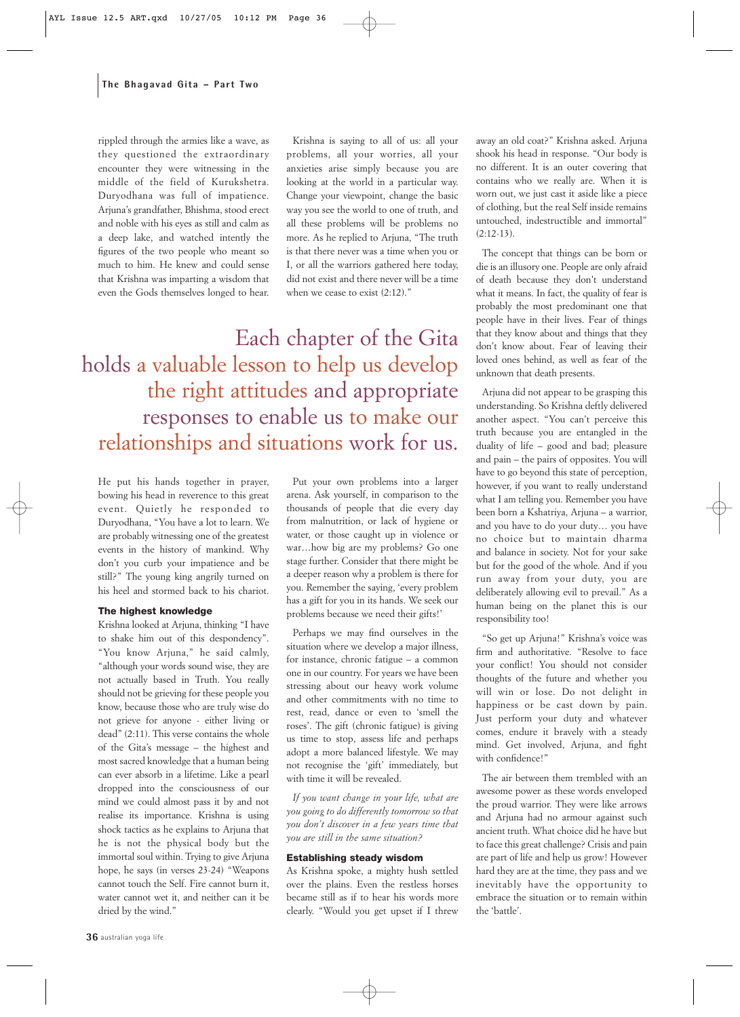#### **The Bhagavad Gita – Part Two**

rippled through the armies like a wave, as they questioned the extraordinary encounter they were witnessing in the middle of the field of Kurukshetra. Duryodhana was full of impatience. Arjuna's grandfather, Bhishma, stood erect and noble with his eyes as still and calm as a deep lake, and watched intently the figures of the two people who meant so much to him. He knew and could sense that Krishna was imparting a wisdom that even the Gods themselves longed to hear.

Krishna is saying to all of us: all your problems, all your worries, all your anxieties arise simply because you are looking at the world in a particular way. Change your viewpoint, change the basic way you see the world to one of truth, and all these problems will be problems no more. As he replied to Arjuna, "The truth is that there never was a time when you or I, or all the warriors gathered here today, did not exist and there never will be a time when we cease to exist (2:12)."

Each chapter of the Gita holds a valuable lesson to help us develop the right attitudes and appropriate responses to enable us to make our relationships and situations work for us.

He put his hands together in prayer, bowing his head in reverence to this great event. Quietly he responded to Duryodhana, "You have a lot to learn. We are probably witnessing one of the greatest events in the history of mankind. Why don't you curb your impatience and be still?" The young king angrily turned on his heel and stormed back to his chariot.

#### **The highest knowledge**

Krishna looked at Arjuna, thinking "I have to shake him out of this despondency". "You know Arjuna," he said calmly, "although your words sound wise, they are not actually based in Truth. You really should not be grieving for these people you know, because those who are truly wise do not grieve for anyone - either living or dead" (2:11). This verse contains the whole of the Gita's message – the highest and most sacred knowledge that a human being can ever absorb in a lifetime. Like a pearl dropped into the consciousness of our mind we could almost pass it by and not realise its importance. Krishna is using shock tactics as he explains to Arjuna that he is not the physical body but the immortal soul within. Trying to give Arjuna hope, he says (in verses 23-24) "Weapons cannot touch the Self. Fire cannot burn it, water cannot wet it, and neither can it be dried by the wind."

Put your own problems into a larger arena. Ask yourself, in comparison to the thousands of people that die every day from malnutrition, or lack of hygiene or water, or those caught up in violence or war…how big are my problems? Go one stage further. Consider that there might be a deeper reason why a problem is there for you. Remember the saying, 'every problem has a gift for you in its hands. We seek our problems because we need their gifts!'

Perhaps we may find ourselves in the situation where we develop a major illness, for instance, chronic fatigue – a common one in our country. For years we have been stressing about our heavy work volume and other commitments with no time to rest, read, dance or even to 'smell the roses'. The gift (chronic fatigue) is giving us time to stop, assess life and perhaps adopt a more balanced lifestyle. We may not recognise the 'gift' immediately, but with time it will be revealed.

*If you want change in your life, what are you going to do differently tomorrow so that you don't discover in a few years time that you are still in the same situation?*

#### **Establishing steady wisdom**

As Krishna spoke, a mighty hush settled over the plains. Even the restless horses became still as if to hear his words more clearly. "Would you get upset if I threw away an old coat?" Krishna asked. Arjuna shook his head in response. "Our body is no different. It is an outer covering that contains who we really are. When it is worn out, we just cast it aside like a piece of clothing, but the real Self inside remains untouched, indestructible and immortal"  $(2:12-13)$ .

The concept that things can be born or die is an illusory one. People are only afraid of death because they don't understand what it means. In fact, the quality of fear is probably the most predominant one that people have in their lives. Fear of things that they know about and things that they don't know about. Fear of leaving their loved ones behind, as well as fear of the unknown that death presents.

Arjuna did not appear to be grasping this understanding. So Krishna deftly delivered another aspect. "You can't perceive this truth because you are entangled in the duality of life – good and bad; pleasure and pain – the pairs of opposites. You will have to go beyond this state of perception, however, if you want to really understand what I am telling you. Remember you have been born a Kshatriya, Arjuna – a warrior, and you have to do your duty… you have no choice but to maintain dharma and balance in society. Not for your sake but for the good of the whole. And if you run away from your duty, you are deliberately allowing evil to prevail." As a human being on the planet this is our responsibility too!

"So get up Arjuna!" Krishna's voice was firm and authoritative. "Resolve to face your conflict! You should not consider thoughts of the future and whether you will win or lose. Do not delight in happiness or be cast down by pain. Just perform your duty and whatever comes, endure it bravely with a steady mind. Get involved, Arjuna, and fight with confidence!"

The air between them trembled with an awesome power as these words enveloped the proud warrior. They were like arrows and Arjuna had no armour against such ancient truth. What choice did he have but to face this great challenge? Crisis and pain are part of life and help us grow! However hard they are at the time, they pass and we inevitably have the opportunity to embrace the situation or to remain within the 'battle'.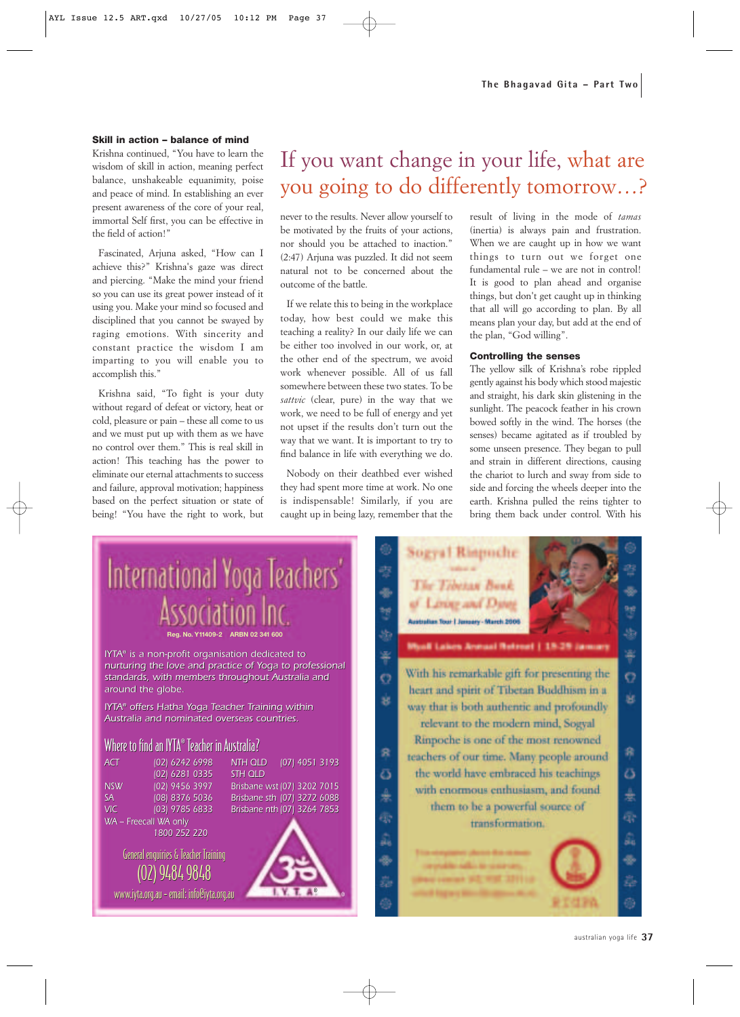#### **Skill in action – balance of mind**

Krishna continued, "You have to learn the wisdom of skill in action, meaning perfect balance, unshakeable equanimity, poise and peace of mind. In establishing an ever present awareness of the core of your real, immortal Self first, you can be effective in the field of action!"

Fascinated, Arjuna asked, "How can I achieve this?" Krishna's gaze was direct and piercing. "Make the mind your friend so you can use its great power instead of it using you. Make your mind so focused and disciplined that you cannot be swayed by raging emotions. With sincerity and constant practice the wisdom I am imparting to you will enable you to accomplish this."

Krishna said, "To fight is your duty without regard of defeat or victory, heat or cold, pleasure or pain – these all come to us and we must put up with them as we have no control over them." This is real skill in action! This teaching has the power to eliminate our eternal attachments to success and failure, approval motivation; happiness based on the perfect situation or state of being! "You have the right to work, but

### If you want change in your life, what are you going to do differently tomorrow…?

never to the results. Never allow yourself to be motivated by the fruits of your actions, nor should you be attached to inaction." (2:47) Arjuna was puzzled. It did not seem natural not to be concerned about the outcome of the battle.

If we relate this to being in the workplace today, how best could we make this teaching a reality? In our daily life we can be either too involved in our work, or, at the other end of the spectrum, we avoid work whenever possible. All of us fall somewhere between these two states. To be *sattvic* (clear, pure) in the way that we work, we need to be full of energy and yet not upset if the results don't turn out the way that we want. It is important to try to find balance in life with everything we do.

Nobody on their deathbed ever wished they had spent more time at work. No one is indispensable! Similarly, if you are caught up in being lazy, remember that the

result of living in the mode of *tamas* (inertia) is always pain and frustration. When we are caught up in how we want things to turn out we forget one fundamental rule – we are not in control! It is good to plan ahead and organise things, but don't get caught up in thinking that all will go according to plan. By all means plan your day, but add at the end of the plan, "God willing".

#### **Controlling the senses**

The yellow silk of Krishna's robe rippled gently against his body which stood majestic and straight, his dark skin glistening in the sunlight. The peacock feather in his crown bowed softly in the wind. The horses (the senses) became agitated as if troubled by some unseen presence. They began to pull and strain in different directions, causing the chariot to lurch and sway from side to side and forcing the wheels deeper into the earth. Krishna pulled the reins tighter to bring them back under control. With his



australian yoga life **37**